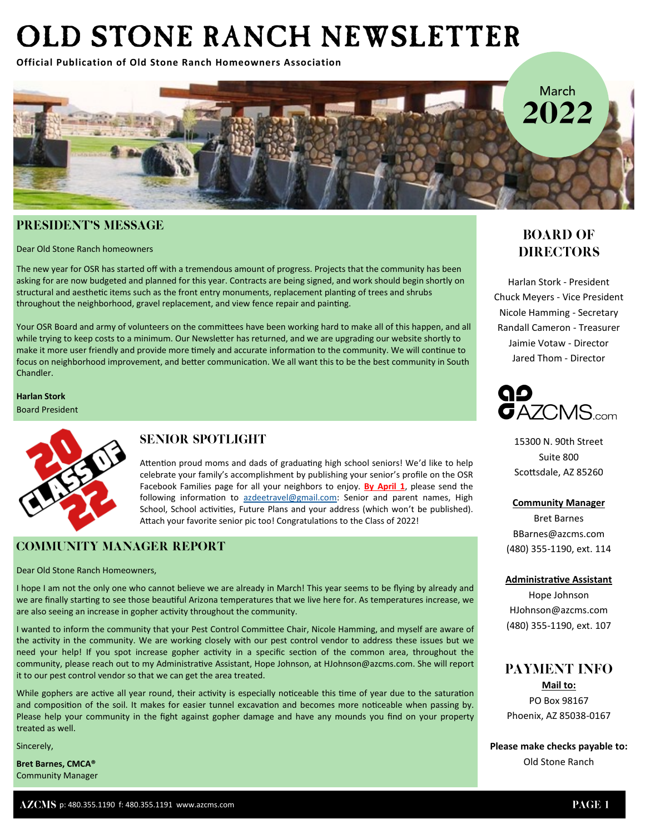# OLD STONE RANCH NEWSLETTER

**Official Publication of Old Stone Ranch Homeowners Association**



## PRESIDENT'S MESSAGE

Dear Old Stone Ranch homeowners

The new year for OSR has started off with a tremendous amount of progress. Projects that the community has been asking for are now budgeted and planned for this year. Contracts are being signed, and work should begin shortly on structural and aesthetic items such as the front entry monuments, replacement planting of trees and shrubs throughout the neighborhood, gravel replacement, and view fence repair and painting.

Your OSR Board and army of volunteers on the committees have been working hard to make all of this happen, and all while trying to keep costs to a minimum. Our Newsletter has returned, and we are upgrading our website shortly to make it more user friendly and provide more timely and accurate information to the community. We will continue to focus on neighborhood improvement, and better communication. We all want this to be the best community in South Chandler.

**Harlan Stork** Board President



## **SENIOR SPOTLIGHT**

Attention proud moms and dads of graduating high school seniors! We'd like to help celebrate your family's accomplishment by publishing your senior's profile on the OSR Facebook Families page for all your neighbors to enjoy. **By April 1**, please send the following information to [azdeetravel@gmail.com:](mailto:azdeetravel@gmail.com) Senior and parent names, High School, School activities, Future Plans and your address (which won't be published). Attach your favorite senior pic too! Congratulations to the Class of 2022!

## **COMMUNITY MANAGER REPORT**

Dear Old Stone Ranch Homeowners,

I hope I am not the only one who cannot believe we are already in March! This year seems to be flying by already and we are finally starting to see those beautiful Arizona temperatures that we live here for. As temperatures increase, we are also seeing an increase in gopher activity throughout the community.

I wanted to inform the community that your Pest Control Committee Chair, Nicole Hamming, and myself are aware of the activity in the community. We are working closely with our pest control vendor to address these issues but we need your help! If you spot increase gopher activity in a specific section of the common area, throughout the community, please reach out to my Administrative Assistant, Hope Johnson, at HJohnson@azcms.com. She will report it to our pest control vendor so that we can get the area treated.

While gophers are active all year round, their activity is especially noticeable this time of year due to the saturation and composition of the soil. It makes for easier tunnel excavation and becomes more noticeable when passing by. Please help your community in the fight against gopher damage and have any mounds you find on your property treated as well.

Sincerely,

**Bret Barnes, CMCA®** Community Manager

# **BOARD OF DIRECTORS**

Harlan Stork - President Chuck Meyers - Vice President Nicole Hamming - Secretary Randall Cameron - Treasurer Jaimie Votaw - Director Jared Thom - Director



15300 N. 90th Street Suite 800 Scottsdale, AZ 85260

**Community Manager**

Bret Barnes BBarnes@azcms.com (480) 355-1190, ext. 114

#### **Administrative Assistant**

Hope Johnson HJohnson@azcms.com (480) 355-1190, ext. 107

## **PAYMENT INFO**

**Mail to:** PO Box 98167 Phoenix, AZ 85038-0167

**Please make checks payable to:** Old Stone Ranch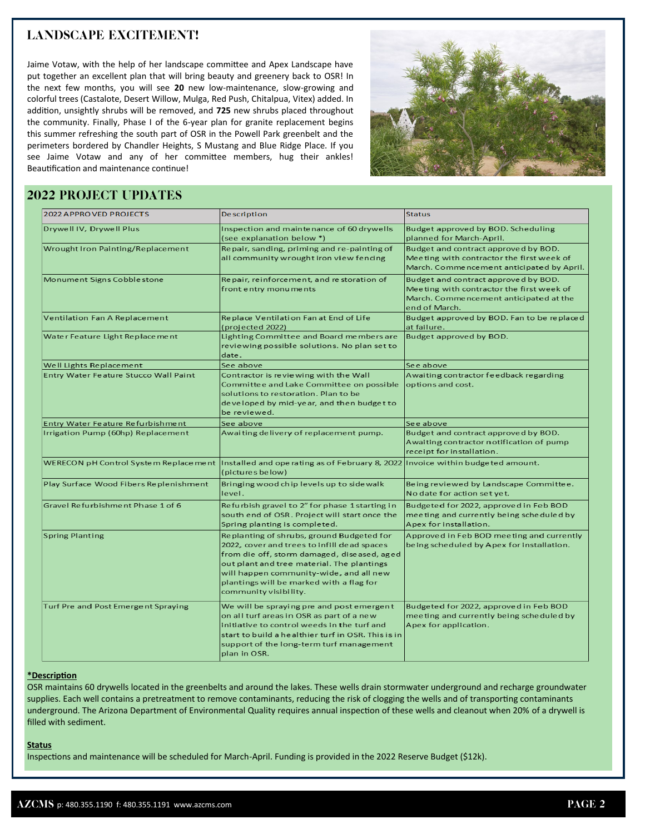# **LANDSCAPE EXCITEMENT!**

Jaime Votaw, with the help of her landscape committee and Apex Landscape have put together an excellent plan that will bring beauty and greenery back to OSR! In the next few months, you will see **20** new low-maintenance, slow-growing and colorful trees (Castalote, Desert Willow, Mulga, Red Push, Chitalpua, Vitex) added. In addition, unsightly shrubs will be removed, and **725** new shrubs placed throughout the community. Finally, Phase I of the 6-year plan for granite replacement begins this summer refreshing the south part of OSR in the Powell Park greenbelt and the perimeters bordered by Chandler Heights, S Mustang and Blue Ridge Place. If you see Jaime Votaw and any of her committee members, hug their ankles! Beautification and maintenance continue!



## **2022 PROJECT UPDATES**

| <b>2022 APPROVED PROJECTS</b>          | <b>Description</b>                                                                                                                                                                                                                                                                                    | <b>Status</b>                                                                                                                                |
|----------------------------------------|-------------------------------------------------------------------------------------------------------------------------------------------------------------------------------------------------------------------------------------------------------------------------------------------------------|----------------------------------------------------------------------------------------------------------------------------------------------|
| Drywell IV, Drywell Plus               | Inspection and maintenance of 60 drywells<br>(see explanation below *)                                                                                                                                                                                                                                | Budget approved by BOD. Scheduling<br>planned for March-April.                                                                               |
| Wrought Iron Painting/Replacement      | Repair, sanding, priming and re-painting of<br>all community wrought iron view fencing                                                                                                                                                                                                                | Budget and contract approved by BOD.<br>Meeting with contractor the first week of<br>March. Commencement anticipated by April.               |
| Monument Signs Cobblestone             | Repair, reinforcement, and restoration of<br>front entry monuments                                                                                                                                                                                                                                    | Budget and contract approved by BOD.<br>Meeting with contractor the first week of<br>March. Commencement anticipated at the<br>end of March. |
| Ventilation Fan A Replacement          | Replace Ventilation Fan at End of Life<br>(projected 2022)                                                                                                                                                                                                                                            | Budget approved by BOD. Fan to be replaced<br>at failure.                                                                                    |
| Water Feature Light Replace ment       | Lighting Committee and Board members are<br>reviewing possible solutions. No plan set to<br>date.                                                                                                                                                                                                     | Budget approved by BOD.                                                                                                                      |
| Well Lights Replacement                | See above                                                                                                                                                                                                                                                                                             | See above                                                                                                                                    |
| Entry Water Feature Stucco Wall Paint  | Contractor is reviewing with the Wall<br>Committee and Lake Committee on possible<br>solutions to restoration. Plan to be<br>developed by mid-year, and then budget to<br>be reviewed.                                                                                                                | Awaiting contractor feedback regarding<br>options and cost.                                                                                  |
| Entry Water Feature Refurbishment      | See above                                                                                                                                                                                                                                                                                             | See above                                                                                                                                    |
| Irrigation Pump (60hp) Replacement     | Awaiting delivery of replacement pump.                                                                                                                                                                                                                                                                | Budget and contract approved by BOD.<br>Awaiting contractor notification of pump<br>receipt for installation.                                |
| WERECON pH Control System Replace ment | Installed and operating as of February 8, 2022   Invoice within budgeted amount.<br>(pictures below)                                                                                                                                                                                                  |                                                                                                                                              |
| Play Surface Wood Fibers Replenishment | Bringing wood chip levels up to side walk<br>level.                                                                                                                                                                                                                                                   | Being reviewed by Landscape Committee.<br>No date for action set yet.                                                                        |
| Gravel Refurbishment Phase 1 of 6      | Refurbish gravel to 2" for phase 1 starting in<br>south end of OSR. Project will start once the<br>Spring planting is completed.                                                                                                                                                                      | Budgeted for 2022, approved in Feb BOD<br>meeting and currently being scheduled by<br>Apex for installation.                                 |
| <b>Spring Planting</b>                 | Replanting of shrubs, ground Budgeted for<br>2022, cover and trees to infill dead spaces<br>from die off, storm damaged, diseased, aged<br>out plant and tree material. The plantings<br>will happen community-wide, and all new<br>plantings will be marked with a flag for<br>community visibility. | Approved in Feb BOD meeting and currently<br>being scheduled by Apex for installation.                                                       |
| Turf Pre and Post Emergent Spraying    | We will be spraying pre and post emergent<br>on all turf areas in OSR as part of a new<br>initiative to control weeds in the turf and<br>start to build a healthier turf in OSR. This is in<br>support of the long-term turf management<br>plan in OSR.                                               | Budgeted for 2022, approved in Feb BOD<br>meeting and currently being scheduled by<br>Apex for application.                                  |

#### **\*Description**

OSR maintains 60 drywells located in the greenbelts and around the lakes. These wells drain stormwater underground and recharge groundwater supplies. Each well contains a pretreatment to remove contaminants, reducing the risk of clogging the wells and of transporting contaminants underground. The Arizona Department of Environmental Quality requires annual inspection of these wells and cleanout when 20% of a drywell is filled with sediment.

#### **Status**

Inspections and maintenance will be scheduled for March-April. Funding is provided in the 2022 Reserve Budget (\$12k).